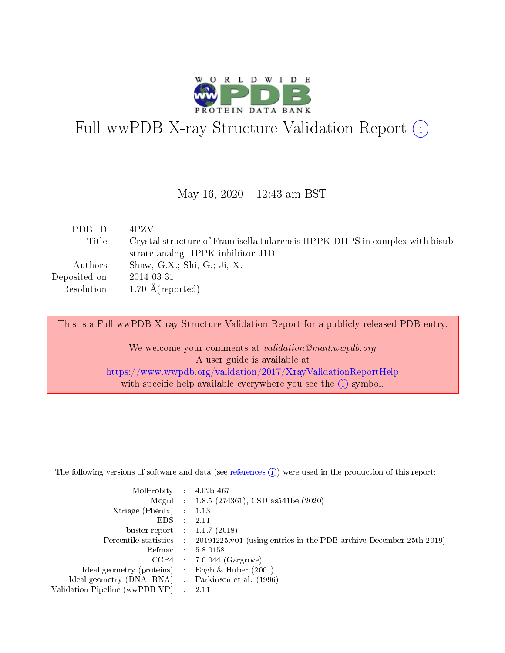

# Full wwPDB X-ray Structure Validation Report (i)

May 16, 2020 - 12:43 am BST

| PDBID : 4PZV                |                                                                                      |
|-----------------------------|--------------------------------------------------------------------------------------|
|                             | Title : Crystal structure of Francisella tularensis HPPK-DHPS in complex with bisub- |
|                             | strate analog HPPK inhibitor J1D                                                     |
|                             | Authors : Shaw, G.X.; Shi, G.; Ji, X.                                                |
| Deposited on : $2014-03-31$ |                                                                                      |
|                             | Resolution : $1.70 \text{ Å}$ (reported)                                             |

This is a Full wwPDB X-ray Structure Validation Report for a publicly released PDB entry.

We welcome your comments at validation@mail.wwpdb.org A user guide is available at <https://www.wwpdb.org/validation/2017/XrayValidationReportHelp> with specific help available everywhere you see the  $(i)$  symbol.

The following versions of software and data (see [references](https://www.wwpdb.org/validation/2017/XrayValidationReportHelp#references)  $(1)$ ) were used in the production of this report:

| MolProbity :                   |               | $4.02b - 467$                                                               |
|--------------------------------|---------------|-----------------------------------------------------------------------------|
|                                |               | Mogul : $1.8.5$ (274361), CSD as 541be (2020)                               |
| Xtriage (Phenix)               | $\mathcal{L}$ | 1.13                                                                        |
| EDS.                           |               | 2.11                                                                        |
| buster-report : $1.1.7$ (2018) |               |                                                                             |
| Percentile statistics :        |               | $20191225 \text{v}01$ (using entries in the PDB archive December 25th 2019) |
| Refmac :                       |               | 5.8.0158                                                                    |
| CCP4                           |               | $7.0.044$ (Gargrove)                                                        |
| Ideal geometry (proteins) :    |               | Engh $\&$ Huber (2001)                                                      |
| Ideal geometry (DNA, RNA) :    |               | Parkinson et al. (1996)                                                     |
| Validation Pipeline (wwPDB-VP) | $\mathcal{L}$ | 2.11                                                                        |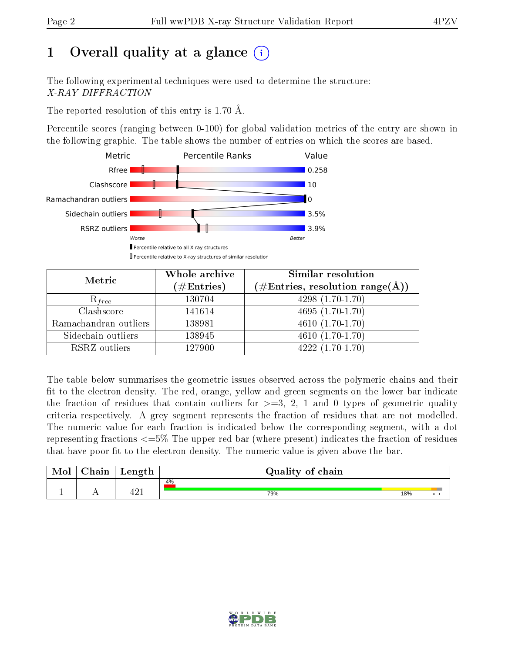# 1 [O](https://www.wwpdb.org/validation/2017/XrayValidationReportHelp#overall_quality)verall quality at a glance  $(i)$

The following experimental techniques were used to determine the structure: X-RAY DIFFRACTION

The reported resolution of this entry is 1.70 Å.

Percentile scores (ranging between 0-100) for global validation metrics of the entry are shown in the following graphic. The table shows the number of entries on which the scores are based.



| Metric                | Whole archive<br>$(\#\text{Entries})$ | Similar resolution<br>$(\#\text{Entries},\,\text{resolution}\,\,\text{range}(\textup{\AA}))$ |
|-----------------------|---------------------------------------|----------------------------------------------------------------------------------------------|
| $R_{free}$            | 130704                                | $4298(1.70-1.70)$                                                                            |
| Clashscore            | 141614                                | $4695(1.70-1.70)$                                                                            |
| Ramachandran outliers | 138981                                | $\overline{4610}(1.70-1.70)$                                                                 |
| Sidechain outliers    | 138945                                | $4610(1.70-1.70)$                                                                            |
| RSRZ outliers         | 127900                                | $4222(1.70-1.70)$                                                                            |

The table below summarises the geometric issues observed across the polymeric chains and their fit to the electron density. The red, orange, yellow and green segments on the lower bar indicate the fraction of residues that contain outliers for  $>=3, 2, 1$  and 0 types of geometric quality criteria respectively. A grey segment represents the fraction of residues that are not modelled. The numeric value for each fraction is indicated below the corresponding segment, with a dot representing fractions  $\epsilon=5\%$  The upper red bar (where present) indicates the fraction of residues that have poor fit to the electron density. The numeric value is given above the bar.

| Mol       | $\sim$ 1<br>hain | Length      | Quality of chain |     |     |
|-----------|------------------|-------------|------------------|-----|-----|
|           |                  |             | 4%               |     |     |
| <u>д.</u> | . .              | 101<br>≖∠ ⊥ | 79%              | 18% | . . |

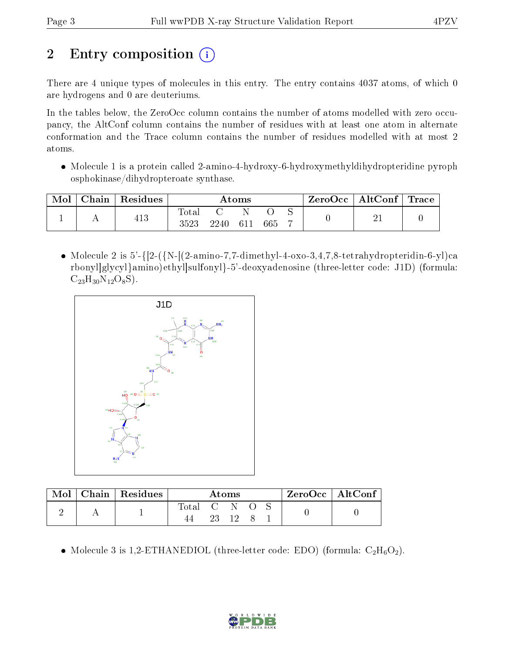# 2 Entry composition  $\binom{1}{1}$

There are 4 unique types of molecules in this entry. The entry contains 4037 atoms, of which 0 are hydrogens and 0 are deuteriums.

In the tables below, the ZeroOcc column contains the number of atoms modelled with zero occupancy, the AltConf column contains the number of residues with at least one atom in alternate conformation and the Trace column contains the number of residues modelled with at most 2 atoms.

• Molecule 1 is a protein called 2-amino-4-hydroxy-6-hydroxymethyldihydropteridine pyroph osphokinase/dihydropteroate synthase.

| Mol | $\cap$ hain | Residues | Atoms               |      |     |     |  | ZeroOcc∣ | $\mid$ AltConf $\mid$ Trace $\mid$ |  |
|-----|-------------|----------|---------------------|------|-----|-----|--|----------|------------------------------------|--|
|     |             | 413      | $\rm Total$<br>3523 | 2240 | 611 | 665 |  |          |                                    |  |

• Molecule 2 is  $5'$ -{ $[2-(\{N_{-}[(2-amin-7,7-dimethyl-4-oxo-3,4,7,8-tetrahydropteridin-6-yl)ca$ rbonyl]glycyl}amino)ethyl]sulfonyl}-5'-deoxyadenosine (three-letter code: J1D) (formula:  $C_{23}H_{30}N_{12}O_8S$ ).



| $\blacksquare$ Mol $\blacksquare$ | $\mid$ Chain $\mid$ Residues | Atoms                  |  |       |  | $ZeroOcc \mid AltConf \mid$ |  |  |
|-----------------------------------|------------------------------|------------------------|--|-------|--|-----------------------------|--|--|
|                                   |                              | Total $C \times C$ $S$ |  |       |  |                             |  |  |
|                                   |                              |                        |  | 23 12 |  |                             |  |  |

• Molecule 3 is 1,2-ETHANEDIOL (three-letter code: EDO) (formula:  $C_2H_6O_2$ ).

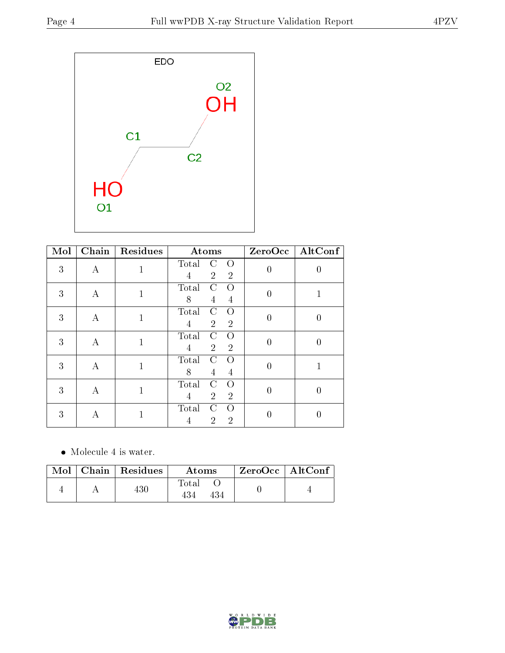

| Mol | Chain    | Residues     | Atoms                                                                        |                  | $ZeroOcc$ $\fbox{AltConf}$ |
|-----|----------|--------------|------------------------------------------------------------------------------|------------------|----------------------------|
| 3   | $\bf{A}$ | 1            | Total<br>$\Omega$<br>C<br>$\overline{2}$<br>$\overline{2}$<br>4              | $\overline{0}$   | 0                          |
| 3   | А        | $\mathbf{1}$ | Total<br>$\mathcal{C}$<br>Ω<br>8<br>4<br>4                                   | $\overline{0}$   | 1                          |
| 3   | А        | $\mathbf{1}$ | Total<br>C<br>$\Omega$<br>$\overline{2}$<br>$\overline{4}$<br>$\overline{2}$ | $\boldsymbol{0}$ | $\boldsymbol{0}$           |
| 3   | А        | $\mathbf{1}$ | Total<br>C<br>Ω<br>$\overline{2}$<br>$\overline{2}$<br>$\overline{4}$        | $\overline{0}$   | $\boldsymbol{0}$           |
| 3   | А        | $\mathbf 1$  | Total<br>C<br>$\Omega$<br>8<br>4<br>4                                        | $\overline{0}$   | 1                          |
| 3   | A        | 1            | C<br>Total<br>$\Omega$<br>$\overline{2}$<br>$\overline{2}$<br>4              | $\overline{0}$   | $\theta$                   |
| 3   | А        |              | Total<br>C<br>$\Omega$<br>$\overline{2}$<br>$\overline{2}$<br>4              |                  | O                          |

• Molecule 4 is water.

|  | Mol   Chain   Residues | Atoms | $ZeroOcc \   \ AltConf$ |  |
|--|------------------------|-------|-------------------------|--|
|  | 430                    | Total |                         |  |

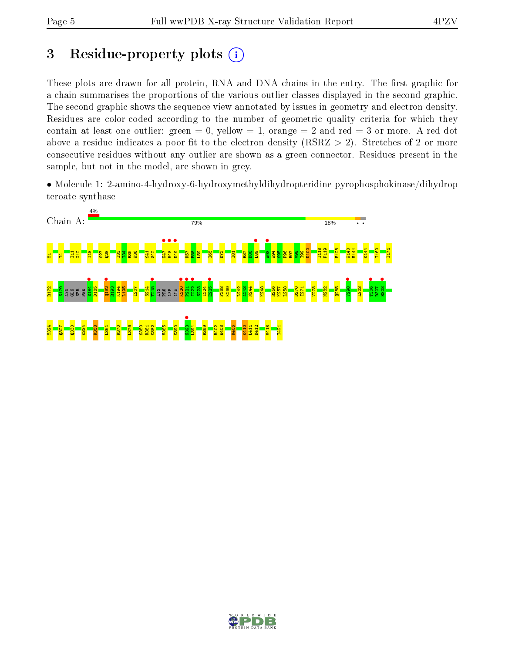# 3 Residue-property plots  $(i)$

These plots are drawn for all protein, RNA and DNA chains in the entry. The first graphic for a chain summarises the proportions of the various outlier classes displayed in the second graphic. The second graphic shows the sequence view annotated by issues in geometry and electron density. Residues are color-coded according to the number of geometric quality criteria for which they contain at least one outlier: green  $= 0$ , yellow  $= 1$ , orange  $= 2$  and red  $= 3$  or more. A red dot above a residue indicates a poor fit to the electron density (RSRZ  $> 2$ ). Stretches of 2 or more consecutive residues without any outlier are shown as a green connector. Residues present in the sample, but not in the model, are shown in grey.

• Molecule 1: 2-amino-4-hydroxy-6-hydroxymethyldihydropteridine pyrophosphokinase/dihydrop teroate synthase



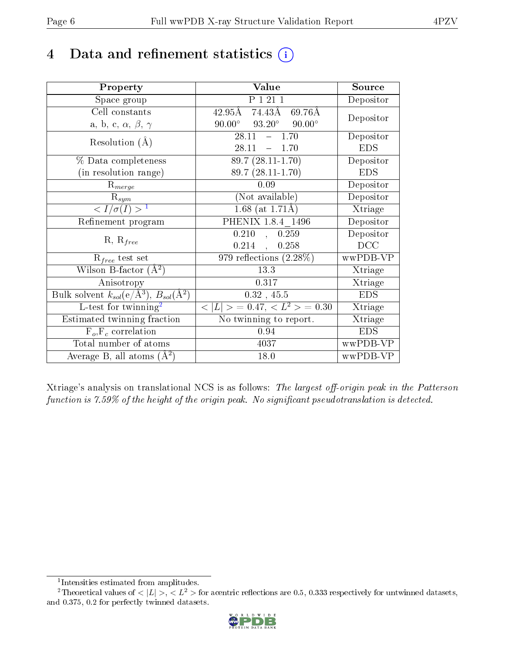## 4 Data and refinement statistics  $(i)$

| Property                                                         | Value                                              | Source     |
|------------------------------------------------------------------|----------------------------------------------------|------------|
| Space group                                                      | P 1 21 1                                           | Depositor  |
| Cell constants                                                   | 74.43Å<br>$42.95\text{\AA}$<br>69.76Å              |            |
| a, b, c, $\alpha$ , $\beta$ , $\gamma$                           | $90.00^{\circ}$<br>$93.20^{\circ}$ $90.00^{\circ}$ | Depositor  |
| Resolution $(A)$                                                 | 28.11<br>$-1.70$                                   | Depositor  |
|                                                                  | 28.11<br>$-1.70$                                   | <b>EDS</b> |
| % Data completeness                                              | $89.7(28.11-1.70)$                                 | Depositor  |
| (in resolution range)                                            | $89.7(28.11-1.70)$                                 | <b>EDS</b> |
| $R_{merge}$                                                      | 0.09                                               | Depositor  |
| $\mathrm{R}_{sym}$                                               | (Not available)                                    | Depositor  |
| $\langle I/\sigma(I) \rangle^{-1}$                               | 1.68 (at $1.71\text{\AA})$                         | Xtriage    |
| Refinement program                                               | PHENIX 1.8.4 1496                                  | Depositor  |
|                                                                  | 0.210<br>0.259<br>$\overline{\mathcal{L}}$         | Depositor  |
| $R, R_{free}$                                                    | $0.214$ ,<br>0.258                                 | DCC        |
| $\mathcal{R}_{free}$ test set                                    | 979 reflections $(2.28\%)$                         | wwPDB-VP   |
| Wilson B-factor $(A^2)$                                          | 13.3                                               | Xtriage    |
| Anisotropy                                                       | 0.317                                              | Xtriage    |
| Bulk solvent $k_{sol}(\text{e}/\text{A}^3), B_{sol}(\text{A}^2)$ | $0.32$ , 45.5                                      | <b>EDS</b> |
| L-test for $\mathrm{twinning}^2$                                 | $< L >$ = 0.47, $< L^2 >$ = 0.30                   | Xtriage    |
| Estimated twinning fraction                                      | No twinning to report.                             | Xtriage    |
| $F_o, F_c$ correlation                                           | 0.94                                               | <b>EDS</b> |
| Total number of atoms                                            | 4037                                               | wwPDB-VP   |
| Average B, all atoms $(A^2)$                                     | 18.0                                               | wwPDB-VP   |

Xtriage's analysis on translational NCS is as follows: The largest off-origin peak in the Patterson function is  $7.59\%$  of the height of the origin peak. No significant pseudotranslation is detected.

<sup>&</sup>lt;sup>2</sup>Theoretical values of  $\langle |L| \rangle$ ,  $\langle L^2 \rangle$  for acentric reflections are 0.5, 0.333 respectively for untwinned datasets, and 0.375, 0.2 for perfectly twinned datasets.



<span id="page-5-1"></span><span id="page-5-0"></span><sup>1</sup> Intensities estimated from amplitudes.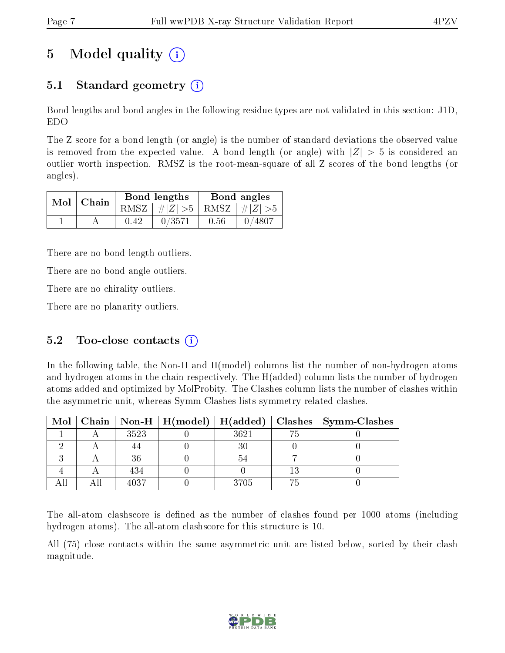# 5 Model quality  $(i)$

## 5.1 Standard geometry  $(i)$

Bond lengths and bond angles in the following residue types are not validated in this section: J1D, EDO

The Z score for a bond length (or angle) is the number of standard deviations the observed value is removed from the expected value. A bond length (or angle) with  $|Z| > 5$  is considered an outlier worth inspection. RMSZ is the root-mean-square of all Z scores of the bond lengths (or angles).

| $Mol$   Chain |      | Bond lengths                    | Bond angles |           |  |
|---------------|------|---------------------------------|-------------|-----------|--|
|               |      | RMSZ $ #Z  > 5$ RMSZ $ #Z  > 5$ |             |           |  |
|               | 0.42 | 0/3571                          | 0.56        | $-0/4807$ |  |

There are no bond length outliers.

There are no bond angle outliers.

There are no chirality outliers.

There are no planarity outliers.

### 5.2 Too-close contacts  $(i)$

In the following table, the Non-H and H(model) columns list the number of non-hydrogen atoms and hydrogen atoms in the chain respectively. The H(added) column lists the number of hydrogen atoms added and optimized by MolProbity. The Clashes column lists the number of clashes within the asymmetric unit, whereas Symm-Clashes lists symmetry related clashes.

|  |      |      | Mol   Chain   Non-H   H(model)   H(added)   Clashes   Symm-Clashes |
|--|------|------|--------------------------------------------------------------------|
|  | 3523 | 3621 |                                                                    |
|  |      |      |                                                                    |
|  | 36   |      |                                                                    |
|  | 434  |      |                                                                    |
|  | 4037 | 3705 |                                                                    |

The all-atom clashscore is defined as the number of clashes found per 1000 atoms (including hydrogen atoms). The all-atom clashscore for this structure is 10.

All (75) close contacts within the same asymmetric unit are listed below, sorted by their clash magnitude.

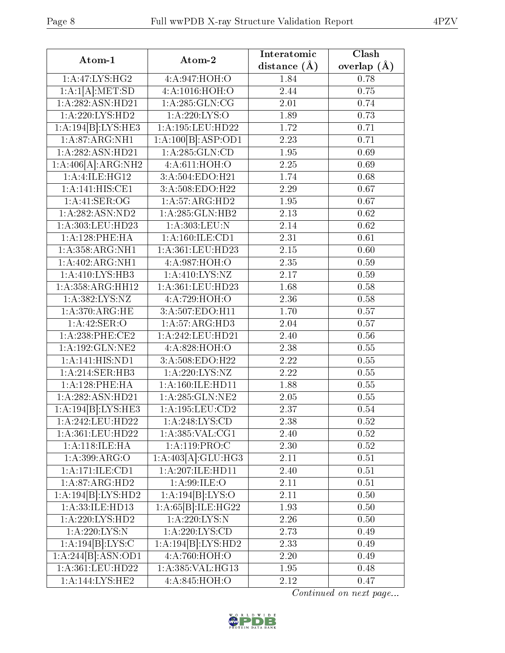| Atom-1                              | Atom-2                       | Interatomic       | Clash           |
|-------------------------------------|------------------------------|-------------------|-----------------|
|                                     |                              | distance $(A)$    | overlap $(\AA)$ |
| 1:A:47:LYS:HG2                      | 4:A:947:HOH:O                | 1.84              | 0.78            |
| $1:A:1[A]\overline{.MET:SD}$        | 4:A:1016:HOH:O               | 2.44              | 0.75            |
| 1:A:282:ASN:HD21                    | 1: A: 285: GLN: CG           | 2.01              | 0.74            |
| 1:A:220:LYS:HD2                     | 1: A:220: LYS:O              | 1.89              | 0.73            |
| 1:A:194[B]:LYS:HE3                  | $1:$ A:195:LEU:HD22          | 1.72              | 0.71            |
| 1: A:87: ARG: NH1                   | 1:A:100[B]:ASP:OD1           | 2.23              | 0.71            |
| 1:A:282:ASN:HD21                    | 1:A:285:GLN:CD               | 1.95              | 0.69            |
| 1:A:406[A]:ARG:NH2                  | 4:A:611:HOH:O                | 2.25              | 0.69            |
| 1:A:1LE:HG12                        | 3:A:504:EDO:H21              | 1.74              | 0.68            |
| 1:A:141:HIS:CE1                     | 3:A:508:EDO:H22              | 2.29              | 0.67            |
| 1:A:41:SER:OG                       | 1:A:57:ARG:HD2               | 1.95              | 0.67            |
| 1:A:282:ASN:ND2                     | 1: A:285: GLN:HB2            | 2.13              | 0.62            |
| 1:A:303:LEU:HD23                    | 1:A:303:LEU:N                | 2.14              | 0.62            |
| 1:A:128:PHE:HA                      | 1: A:160: ILE: CD1           | 2.31              | 0.61            |
| 1: A: 358: ARG: NH1                 | 1:A:361:LEU:HD23             | $\overline{2.15}$ | 0.60            |
| 1: A:402:ARG:NH1                    | 4: A:987: HOH:O              | 2.35              | 0.59            |
| 1:A:410:LYS:HB3                     | 1: A:410: LYS: NZ            | 2.17              | 0.59            |
| 1: A: 358: ARG: HH12                | 1:A:361:LEU:HD23             | 1.68              | 0.58            |
| 1:A:382:LYS:NZ                      | 4:A:729:HOH:O                | 2.36              | 0.58            |
| 1: A:370:ARG:HE                     | 3:A:507:EDO:H11              | 1.70              | 0.57            |
| 1: A:42: SER:O                      | 1:A:57:ARG:HD3               | 2.04              | 0.57            |
| $1:A:238:PHE:\overline{\text{CE2}}$ | 1:A:242:LEU:HD21             | 2.40              | 0.56            |
| 1: A: 192: GLN: NE2                 | 4: A:828:HOH:O               | 2.38              | 0.55            |
| 1:A:141:HIS:ND1                     | 3:A:508:EDO:H22              | 2.22              | 0.55            |
| 1:A:214:SER:HB3                     | 1:A:220:LYS:NZ               | 2.22              | 0.55            |
| 1:A:128:PHE:HA                      | 1:A:160:ILE:HD11             | 1.88              | 0.55            |
| 1:A:282:ASN:HD21                    | 1:A:285:GLN:NE2              | 2.05              | 0.55            |
| 1:A:194[B]:LYS:HE3                  | $1:A:\overline{195:LEU:CD2}$ | 2.37              | 0.54            |
| 1:A:242:LEU:HD22                    | 1: A:248: LYS: CD            | 2.38              | 0.52            |
| 1:A:361:LEU:HD22                    | 1: A: 385: VAL: CG1          | 2.40              | 0.52            |
| 1: A:118: ILE: HA                   | 1:A:119:PRO:C                | 2.30              | 0.52            |
| 1:A:399:ARG:O                       | 1:A:403[A]:GLU:HG3           | 2.11              | $0.51\,$        |
| 1:A:171:ILE:CD1                     | 1:A:207:ILE:HD11             | 2.40              | 0.51            |
| 1:A:87:ARG:HD2                      | 1:A:99:ILE:O                 | 2.11              | 0.51            |
| 1:A:194[B]:LYS:HD2                  | 1:A:194[B]:LYS:O             | 2.11              | 0.50            |
| 1:A:33:ILE:HDI3                     | 1:A:65[B]:ILE:HG22           | 1.93              | $0.50\,$        |
| 1: A:220: LYS: HD2                  | 1: A:220:LYS:N               | 2.26              | 0.50            |
| 1:A:220:LYS:N                       | 1: A:220: LYS:CD             | 2.73              | 0.49            |
| 1:A:194[B]:LYS:C                    | 1:A:194[B]:LYS:HD2           | 2.33              | 0.49            |
| 1:A:244[B]:ASN:OD1                  | 4:A:760:HOH:O                | 2.20              | 0.49            |
| 1:A:361:LEU:HD22                    | 1:A:385:VAL:HG13             | 1.95              | 0.48            |
| 1:A:144:LYS:HE2                     | 4:A:845:HOH:O                | 2.12              | 0.47            |
|                                     |                              |                   |                 |

Continued on next page...

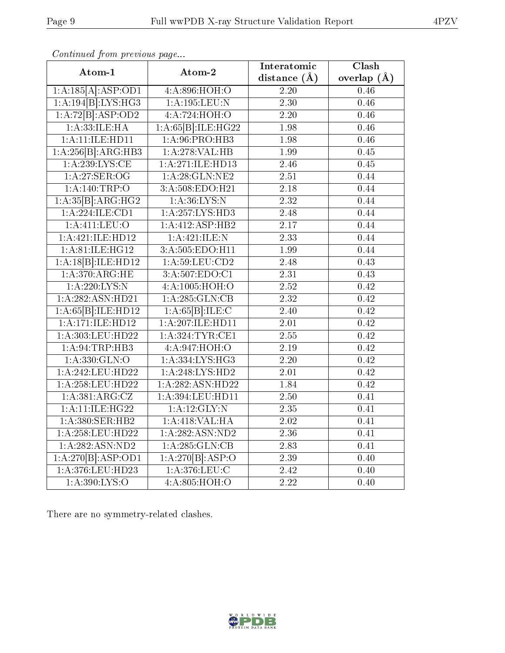| Atom-1              | Atom-2             | Interatomic       | $\overline{\text{Clash}}$ |  |
|---------------------|--------------------|-------------------|---------------------------|--|
|                     |                    | distance $(\AA)$  | overlap $(\AA)$           |  |
| 1:A:185[A]:ASP:OD1  | 4:A:896:HOH:O      | 2.20              | 0.46                      |  |
| 1:A:194[B]:LYS:HG3  | $1:$ A:195:LEU:N   | $\overline{2.30}$ | 0.46                      |  |
| 1:A:72[B]:ASP:OD2   | 4:A:724:HOH:O      | $\overline{2.20}$ | 0.46                      |  |
| 1:A:33:ILE:HA       | 1:A:65[B]:ILE:HG22 | 1.98              | $\overline{0.46}$         |  |
| 1:A:11:ILE:HDI1     | 1: A:96: PRO:HB3   | 1.98              | 0.46                      |  |
| 1:A:256[B]:ARG:HB3  | 1:A:278:VAL:HB     | 1.99              | 0.45                      |  |
| 1: A:239:LYS:CE     | 1:A:271:ILE:HD13   | 2.46              | 0.45                      |  |
| 1: A:27: SER:OG     | 1: A:28: GLN:NE2   | $\overline{2.51}$ | 0.44                      |  |
| 1:A:140:TRP:O       | 3: A:508: EDO:H21  | $\overline{2.18}$ | 0.44                      |  |
| 1:A:35[B]:ARG:HG2   | 1: A:36: LYS: N    | $\overline{2.32}$ | 0.44                      |  |
| 1: A:224: ILE: CD1  | 1:A:257:LYS:HD3    | $\overline{2.48}$ | 0.44                      |  |
| $1:$ A:411:LEU:O    | 1:A:412:ASP:HB2    | $\overline{2.17}$ | 0.44                      |  |
| 1:A:421:ILE:HD12    | 1: A: 421: ILE:N   | 2.33              | 0.44                      |  |
| 1:A:81:ILE:HG12     | 3:A:505:EDO:H11    | 1.99              | 0.44                      |  |
| 1:A:18[B]:ILE:HD12  | 1: A:59: LEU:CD2   | 2.48              | 0.43                      |  |
| 1: A:370:ARG:HE     | 3:A:507:EDO:C1     | $\overline{2.31}$ | 0.43                      |  |
| 1:A:220:LYS:N       | 4: A: 1005: HOH:O  | $\overline{2.52}$ | 0.42                      |  |
| 1:A:282:ASN:HD21    | 1: A:285: GLN:CB   | $\overline{2.32}$ | 0.42                      |  |
| 1:A:65[B]:ILE:HD12  | 1:A:65[B]:ILE:C    | $\overline{2.40}$ | $\overline{0.42}$         |  |
| 1:A:171:ILE:HD12    | 1:A:207:ILE:HD11   | 2.01              | 0.42                      |  |
| 1:A:303:LEU:HD22    | 1: A:324:TYR:CE1   | $\overline{2.55}$ | $\overline{0.42}$         |  |
| 1: A:94:TRP:HB3     | 4:A:947:HOH:O      | 2.19              | 0.42                      |  |
| 1:A:330:GLN:O       | 1:A:334:LYS:HG3    | 2.20              | 0.42                      |  |
| 1:A:242:LEU:HD22    | 1:A:248:LYS:HD2    | $\overline{2.01}$ | 0.42                      |  |
| 1:A:258:LEU:HD22    | 1:A:282:ASN:HD22   | 1.84              | 0.42                      |  |
| 1:A:381:ARG:CZ      | 1:A:394:LEU:HD11   | $\overline{2.50}$ | $\overline{0.41}$         |  |
| 1: A:11:IE:HG22     | 1:A:12:GLY:N       | $\overline{2.35}$ | 0.41                      |  |
| 1:A:380:SER:HB2     | 1:A:418:VAL:HA     | 2.02              | 0.41                      |  |
| 1:A:258:LEU:HD22    | 1:A:282:ASN:ND2    | 2.36              | 0.41                      |  |
| 1:A:282:ASN:ND2     | 1: A:285: GLN:CB   | 2.83              | 0.41                      |  |
| 1:A:270[B]:ASP:OD1  | 1:A:270[B]:ASP:O   | 2.39              | 0.40                      |  |
| 1: A:376: LEU: HD23 | 1: A:376:LEU:C     | 2.42              | 0.40                      |  |
| 1: A:390: LYS:O     | 4: A:805: HOH:O    | $\overline{2.22}$ | $\overline{0.40}$         |  |

Continued from previous page...

There are no symmetry-related clashes.

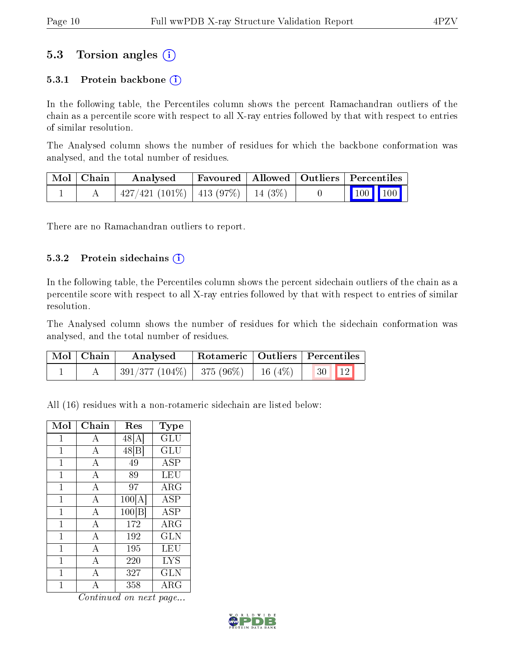### 5.3 Torsion angles (i)

#### 5.3.1 Protein backbone  $(i)$

In the following table, the Percentiles column shows the percent Ramachandran outliers of the chain as a percentile score with respect to all X-ray entries followed by that with respect to entries of similar resolution.

The Analysed column shows the number of residues for which the backbone conformation was analysed, and the total number of residues.

| $\mid$ Mol $\mid$ Chain $\mid$ | Analysed                                  |  | Favoured   Allowed   Outliers   Percentiles              |
|--------------------------------|-------------------------------------------|--|----------------------------------------------------------|
|                                | $427/421$ (101\%)   413 (97\%)   14 (3\%) |  | $\begin{array}{ c c c }\n\hline\n100 & 100\n\end{array}$ |

There are no Ramachandran outliers to report.

#### 5.3.2 Protein sidechains (i)

In the following table, the Percentiles column shows the percent sidechain outliers of the chain as a percentile score with respect to all X-ray entries followed by that with respect to entries of similar resolution.

The Analysed column shows the number of residues for which the sidechain conformation was analysed, and the total number of residues.

| Mol   Chain | Analysed                                                       |  | Rotameric   Outliers   Percentiles |  |
|-------------|----------------------------------------------------------------|--|------------------------------------|--|
|             | $\mid$ 391/377 (104%) $\mid$ 375 (96%) $\mid$ 16 (4%) $\mid$ 1 |  | $\boxed{30}$ $\boxed{12}$          |  |

All (16) residues with a non-rotameric sidechain are listed below:

| Mol          | ${\rm Chain}$  | Res    | Type                 |
|--------------|----------------|--------|----------------------|
| 1            | А              | 48 [A  | $\operatorname{GLU}$ |
| $\mathbf{1}$ | A              | 48[B]  | $\operatorname{GLU}$ |
| 1            | A              | 49     | ASP                  |
| 1            | $\overline{A}$ | 89     | LEU                  |
| 1            | $\overline{A}$ | 97     | $\rm{ARG}$           |
| 1            | A              | 100[A] | <b>ASP</b>           |
| 1            | $\overline{A}$ | 100[B] | <b>ASP</b>           |
| 1            | A              | 172    | $\rm{ARG}$           |
| 1            | A              | 192    | <b>GLN</b>           |
| 1            | $\overline{A}$ | 195    | LEU                  |
| 1            | А              | 220    | <b>LYS</b>           |
| 1            | $\overline{A}$ | 327    | GLN                  |
| 1            | А              | 358    | ${\rm ARG}$          |

Continued on next page...

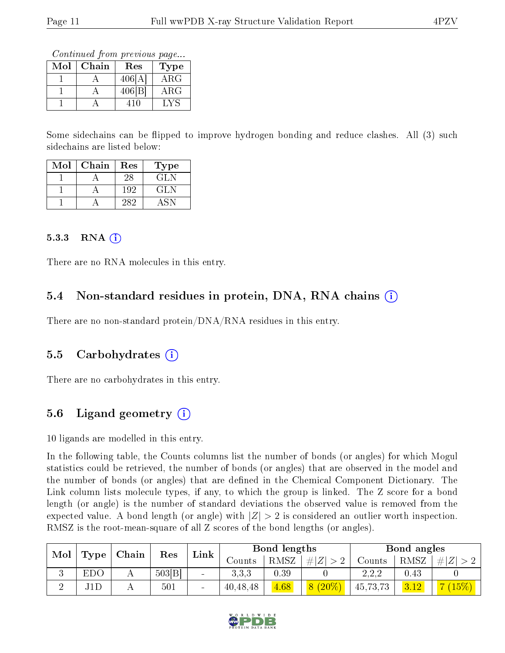Continued from previous page...

| Mol | Chain | Res    | Type        |
|-----|-------|--------|-------------|
|     |       | 406[A] | $\rm{ARG}$  |
|     |       | 406 B  | ${\rm ARG}$ |
|     |       |        |             |

Some sidechains can be flipped to improve hydrogen bonding and reduce clashes. All (3) such sidechains are listed below:

| Mol | Chain | Res | Type |
|-----|-------|-----|------|
|     |       | 28  | GL N |
|     |       | 192 | GLN  |
|     |       | 285 |      |

#### $5.3.3$  RNA  $(i)$

There are no RNA molecules in this entry.

### 5.4 Non-standard residues in protein, DNA, RNA chains (i)

There are no non-standard protein/DNA/RNA residues in this entry.

#### 5.5 Carbohydrates (i)

There are no carbohydrates in this entry.

### 5.6 Ligand geometry  $(i)$

10 ligands are modelled in this entry.

In the following table, the Counts columns list the number of bonds (or angles) for which Mogul statistics could be retrieved, the number of bonds (or angles) that are observed in the model and the number of bonds (or angles) that are defined in the Chemical Component Dictionary. The Link column lists molecule types, if any, to which the group is linked. The Z score for a bond length (or angle) is the number of standard deviations the observed value is removed from the expected value. A bond length (or angle) with  $|Z| > 2$  is considered an outlier worth inspection. RMSZ is the root-mean-square of all Z scores of the bond lengths (or angles).

| Mol<br>Type |     | Chain |       |      |          |                   |          |          |          | Res                                 |  |  | Bond lengths |  |  | Bond angles |  |
|-------------|-----|-------|-------|------|----------|-------------------|----------|----------|----------|-------------------------------------|--|--|--------------|--|--|-------------|--|
|             |     |       |       | Link | Jounts   | RMSZ              | H Z      | Counts   | RMSZ     | -#1<br>$\overline{L}$               |  |  |              |  |  |             |  |
| v           | EDO |       | 503 B |      | 3,3,3    | 0.39              |          | 2.2.2    | $0.43\,$ |                                     |  |  |              |  |  |             |  |
|             | J1D |       | 501   |      | 40,48,48 | $\overline{4.68}$ | $(20\%)$ | 45,73,73 | 3.12     | $\overline{\phantom{a}}$<br>$15\%)$ |  |  |              |  |  |             |  |

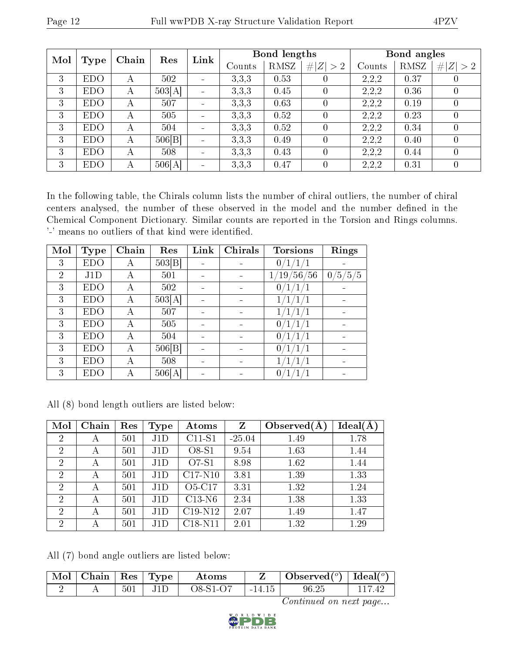| Mol |            | Chain | Res    | Link                         |        | Bond lengths |                |        | Bond angles |                  |
|-----|------------|-------|--------|------------------------------|--------|--------------|----------------|--------|-------------|------------------|
|     | Type       |       |        |                              | Counts | RMSZ         | Z  > 2         | Counts | RMSZ        | # $ Z  > 2$      |
| 3   | <b>EDO</b> | А     | 502    | $\qquad \qquad \blacksquare$ | 3,3,3  | 0.53         | $\theta$       | 2,2,2  | 0.37        | $\left( \right)$ |
| 3   | <b>EDO</b> | А     | 503[A] | $\blacksquare$               | 3,3,3  | 0.45         | $\overline{0}$ | 2,2,2  | 0.36        | $\theta$         |
| 3   | <b>EDO</b> | А     | 507    |                              | 3,3,3  | 0.63         | $\theta$       | 2,2,2  | 0.19        | $\theta$         |
| 3   | <b>EDO</b> | А     | 505    |                              | 3,3,3  | 0.52         | $\overline{0}$ | 2,2,2  | 0.23        | $\theta$         |
| 3   | <b>EDO</b> | А     | 504    |                              | 3,3,3  | 0.52         | $\theta$       | 2,2,2  | 0.34        | $\left( \right)$ |
| 3   | <b>EDO</b> | А     | 506 B  |                              | 3,3,3  | 0.49         | $\theta$       | 2,2,2  | 0.40        | $\theta$         |
| 3   | <b>EDO</b> | А     | 508    |                              | 3,3,3  | 0.43         | $\theta$       | 2,2,2  | 0.44        | $\left( \right)$ |
| 3   | <b>EDO</b> | А     | 506[A] |                              | 3,3,3  | 0.47         | $\overline{0}$ | 2,2,2  | 0.31        | $\theta$         |

In the following table, the Chirals column lists the number of chiral outliers, the number of chiral centers analysed, the number of these observed in the model and the number defined in the Chemical Component Dictionary. Similar counts are reported in the Torsion and Rings columns. '-' means no outliers of that kind were identified.

| Mol            | <b>Type</b> | Chain | Res    | Link                     | Chirals                  | <b>Torsions</b>                            | Rings               |
|----------------|-------------|-------|--------|--------------------------|--------------------------|--------------------------------------------|---------------------|
| 3              | EDO         | А     | 503 B  |                          |                          | 0                                          |                     |
| $\overline{2}$ | J1D         | А     | 501    | $\overline{\phantom{0}}$ |                          | 56<br>$^{\prime}56$<br>$^{\prime}19$<br>1, | 5/5/5<br>$\theta$ . |
| 3              | <b>EDO</b>  | А     | 502    |                          |                          | 0/                                         |                     |
| 3              | EDO         | А     | 503[A] |                          |                          |                                            |                     |
| 3              | <b>EDO</b>  | А     | 507    | $\overline{\phantom{0}}$ | $\overline{\phantom{0}}$ |                                            |                     |
| 3              | <b>EDO</b>  | А     | 505    |                          |                          | 0/                                         |                     |
| 3              | EDO         | А     | 504    |                          |                          | 0/                                         |                     |
| 3              | <b>EDO</b>  | А     | 506 B  | $\overline{\phantom{0}}$ | $\overline{\phantom{0}}$ | $\overline{0}$                             |                     |
| 3              | <b>EDO</b>  | А     | 508    |                          |                          |                                            |                     |
| 3              | <b>EDO</b>  | А     | 506[A] |                          |                          | 0                                          |                     |

|  |  |  |  | All (8) bond length outliers are listed below: |  |  |  |
|--|--|--|--|------------------------------------------------|--|--|--|
|--|--|--|--|------------------------------------------------|--|--|--|

| Mol            | Chain | Res | Type | Atoms     | Z        | Observed $(A$ | Ideal(A) |
|----------------|-------|-----|------|-----------|----------|---------------|----------|
| $\overline{2}$ | А     | 501 | J1D  | $C11-S1$  | $-25.04$ | 1.49          | 1.78     |
| $\overline{2}$ | А     | 501 | J1D  | $O8-S1$   | 9.54     | 1.63          | 1.44     |
| $\overline{2}$ | А     | 501 | J1D  | O7-S1     | 8.98     | 1.62          | 1.44     |
| $\overline{2}$ | А     | 501 | J1D  | $C17-N10$ | 3.81     | 1.39          | 1.33     |
| $\overline{2}$ | А     | 501 | J1D  | $O5-C17$  | 3.31     | 1.32          | 1.24     |
| $\overline{2}$ | А     | 501 | J1D  | $C13-N6$  | 2.34     | 1.38          | 1.33     |
| $\overline{2}$ | А     | 501 | J1D  | $C19-N12$ | 2.07     | 1.49          | 1.47     |
| $\overline{2}$ | А     | 501 | J1D  | $C18-N11$ | 2.01     | 1.32          | 1.29     |

All (7) bond angle outliers are listed below:

| $^{\circ}$ MoI $_{\odot}$ | Chain |         | $\Box$ Res   Type $\Box$ | Atoms      |          | Observed <sup>(<math>\degree</math>)</sup> [deal( $\degree$ ) |  |
|---------------------------|-------|---------|--------------------------|------------|----------|---------------------------------------------------------------|--|
|                           |       | $501\,$ |                          | $O8-S1-O7$ | $-14.15$ | 96.25                                                         |  |

Continued on next page...

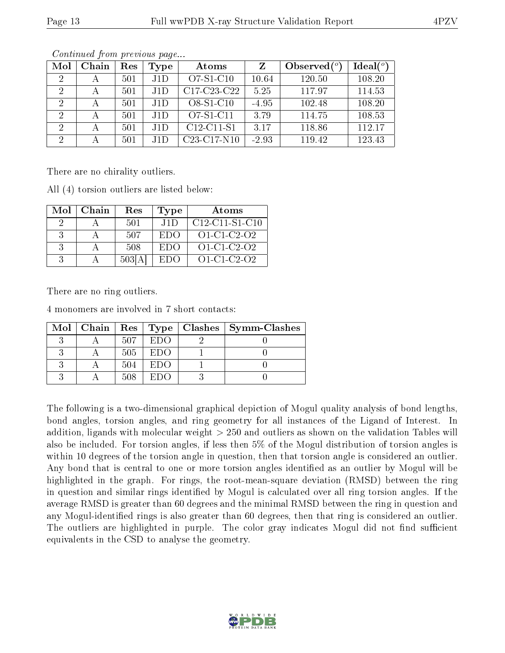| Mol            | Chain        | Res | Type | Atoms                                             | Z       | Observed $(°)$ | Ideal $(°)$ |
|----------------|--------------|-----|------|---------------------------------------------------|---------|----------------|-------------|
| 2              | $\mathsf{A}$ | 501 | J1D  | $O7-S1-C10$                                       | 10.64   | 120.50         | 108.20      |
| 2              | А            | 501 | .HD  | C <sub>17</sub> -C <sub>23</sub> -C <sub>22</sub> | 5.25    | 117.97         | 114.53      |
| -2             | А            | 501 | J1D  | O8-S1-C10                                         | $-4.95$ | 102.48         | 108.20      |
| $\overline{2}$ |              | 501 | J1D  | O7-S1-C11                                         | 3.79    | 114.75         | 108.53      |
| 2              |              | 501 | J1D  | $C12-C11-S1$                                      | 3.17    | 118.86         | 112.17      |
| $\overline{2}$ |              | 501 | J1D  | $C23-C17-N10$                                     | $-2.93$ | 119.42         | 123.43      |

Continued from previous page...

There are no chirality outliers.

All (4) torsion outliers are listed below:

| Mol | Chain | Res    | <b>Type</b> | Atoms               |
|-----|-------|--------|-------------|---------------------|
|     |       | 501    | J1D         | $C12-C11-S1-C10$    |
|     |       | 507    | EDO         | $O1 - C1 - C2 - O2$ |
|     |       | 508    | EDO         | $O1-C1-C2-O2$       |
| 3   |       | 503[A] | ETIO)       | $O1 - C1 - C2 - O2$ |

There are no ring outliers.

4 monomers are involved in 7 short contacts:

|  |     |          | Mol   Chain   Res   Type   Clashes   Symm-Clashes |
|--|-----|----------|---------------------------------------------------|
|  | 507 | EDO      |                                                   |
|  | 505 | EDO      |                                                   |
|  | 504 | EDO      |                                                   |
|  | 508 | -EL) ( ) |                                                   |

The following is a two-dimensional graphical depiction of Mogul quality analysis of bond lengths, bond angles, torsion angles, and ring geometry for all instances of the Ligand of Interest. In addition, ligands with molecular weight > 250 and outliers as shown on the validation Tables will also be included. For torsion angles, if less then 5% of the Mogul distribution of torsion angles is within 10 degrees of the torsion angle in question, then that torsion angle is considered an outlier. Any bond that is central to one or more torsion angles identified as an outlier by Mogul will be highlighted in the graph. For rings, the root-mean-square deviation (RMSD) between the ring in question and similar rings identified by Mogul is calculated over all ring torsion angles. If the average RMSD is greater than 60 degrees and the minimal RMSD between the ring in question and any Mogul-identied rings is also greater than 60 degrees, then that ring is considered an outlier. The outliers are highlighted in purple. The color gray indicates Mogul did not find sufficient equivalents in the CSD to analyse the geometry.

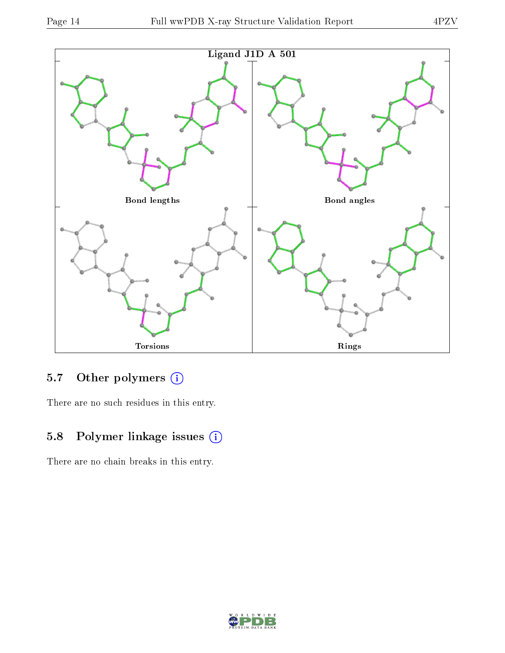

### 5.7 [O](https://www.wwpdb.org/validation/2017/XrayValidationReportHelp#nonstandard_residues_and_ligands)ther polymers (i)

There are no such residues in this entry.

### 5.8 Polymer linkage issues (i)

There are no chain breaks in this entry.

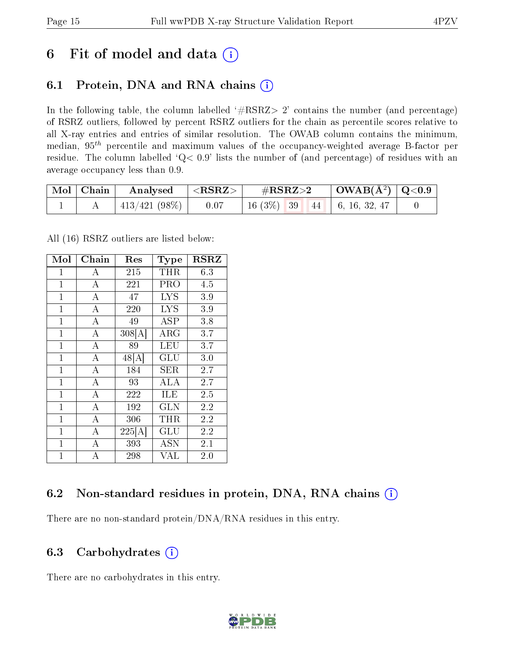## 6 Fit of model and data  $(i)$

### 6.1 Protein, DNA and RNA chains  $(i)$

In the following table, the column labelled  $#RSRZ> 2'$  contains the number (and percentage) of RSRZ outliers, followed by percent RSRZ outliers for the chain as percentile scores relative to all X-ray entries and entries of similar resolution. The OWAB column contains the minimum, median,  $95<sup>th</sup>$  percentile and maximum values of the occupancy-weighted average B-factor per residue. The column labelled ' $Q< 0.9$ ' lists the number of (and percentage) of residues with an average occupancy less than 0.9.

| $\mid$ Mol $\mid$ Chain | $\mid$ Analysed $\mid$ <rsrz> <math>\mid</math></rsrz> | $\#RSRZ\!\!>\!2$                                                                                  | $\mid$ OWAB(Å <sup>2</sup> ) $\mid$ Q<0.9 $\mid$ |  |
|-------------------------|--------------------------------------------------------|---------------------------------------------------------------------------------------------------|--------------------------------------------------|--|
|                         | $413/421$ (98\%)   0.07                                | $\begin{array}{ c c c c c c c c } \hline 16 & 3\% & 39 & 44 & 6, 16, 32, 47 \ \hline \end{array}$ |                                                  |  |

All (16) RSRZ outliers are listed below:

| Mol          | Chain              | Res                | <b>Type</b>          | <b>RSRZ</b> |
|--------------|--------------------|--------------------|----------------------|-------------|
| 1            | A                  | 215                | THR                  | 6.3         |
| $\mathbf{1}$ | $\bf{A}$           | 221                | PRO                  | 4.5         |
| $\mathbf{1}$ | $\overline{\rm A}$ | 47                 | <b>LYS</b>           | 3.9         |
| $\mathbf{1}$ | $\overline{A}$     | 220                | <b>LYS</b>           | $3.9\,$     |
| $\mathbf{1}$ | $\overline{\rm A}$ | 49                 | ĀSP                  | 3.8         |
| $\mathbf 1$  | $\boldsymbol{A}$   | 308[A]             | $\rm{ARG}$           | 3.7         |
| $\mathbf{1}$ | $\overline{\rm A}$ | 89                 | LEU                  | 3.7         |
| $\mathbf{1}$ | $\overline{A}$     | $48 \overline{A} $ | $\operatorname{GLU}$ | 3.0         |
| $\mathbf{1}$ | $\overline{\rm A}$ | 184                | <b>SER</b>           | 2.7         |
| $\mathbf{1}$ | $\overline{A}$     | 93                 | ALA                  | 2.7         |
| $\mathbf{1}$ | $\overline{\rm A}$ | 222                | ILE                  | 2.5         |
| $\mathbf 1$  | $\overline{\rm A}$ | 192                | $_{\rm GLN}$         | 2.2         |
| $\mathbf{1}$ | $\overline{A}$     | 306                | $\rm THR$            | 2.2         |
| $\mathbf{1}$ | $\bf{A}$           | 225[A]             | GLU                  | 2.2         |
| $\mathbf{1}$ | $\boldsymbol{A}$   | 393                | <b>ASN</b>           | 2.1         |
| $\mathbf{1}$ | A                  | 298                | <b>VAL</b>           | $2.0\,$     |

### 6.2 Non-standard residues in protein, DNA, RNA chains  $(i)$

There are no non-standard protein/DNA/RNA residues in this entry.

#### 6.3 Carbohydrates (i)

There are no carbohydrates in this entry.

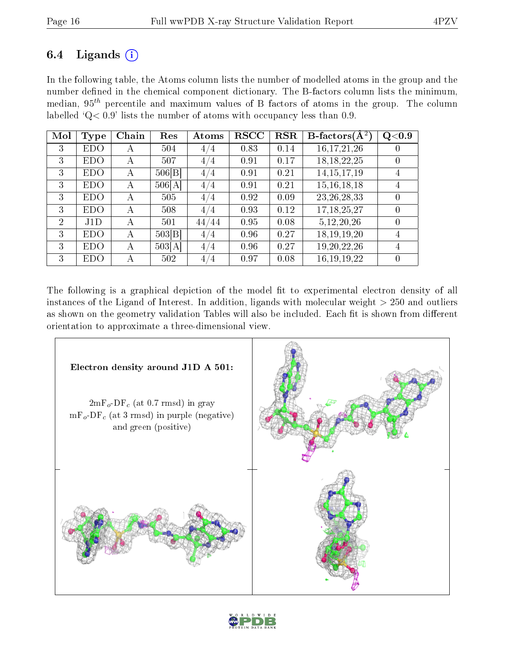### 6.4 Ligands  $(i)$

In the following table, the Atoms column lists the number of modelled atoms in the group and the number defined in the chemical component dictionary. The B-factors column lists the minimum, median,  $95<sup>th</sup>$  percentile and maximum values of B factors of atoms in the group. The column labelled ' $Q< 0.9$ ' lists the number of atoms with occupancy less than 0.9.

| Mol | <b>Type</b> | Chain | Res    | Atoms | <b>RSCC</b> | <b>RSR</b> | B-factors $\overline{(A^2)}$ | Q <sub>0.9</sub> |
|-----|-------------|-------|--------|-------|-------------|------------|------------------------------|------------------|
| 3   | EDO         | А     | 504    | 4/4   | 0.83        | 0.14       | 16, 17, 21, 26               |                  |
| 3   | <b>EDO</b>  | А     | 507    | 4/4   | 0.91        | 0.17       | 18, 18, 22, 25               | $\left( \right)$ |
| 3   | EDO.        | А     | 506 B  | 4/4   | 0.91        | 0.21       | 14, 15, 17, 19               | 4                |
| 3   | EDO         | A     | 506[A] | 4/4   | 0.91        | 0.21       | 15, 16, 18, 18               | $\overline{4}$   |
| 3   | <b>EDO</b>  | А     | 505    | 4/4   | 0.92        | 0.09       | 23, 26, 28, 33               | $\theta$         |
| 3   | <b>EDO</b>  | А     | 508    | 4/4   | 0.93        | 0.12       | 17, 18, 25, 27               | $\theta$         |
| 2   | J1D         | A     | 501    | 44/44 | 0.95        | 0.08       | 5, 12, 20, 26                | $\Omega$         |
| 3   | <b>EDO</b>  | А     | 503 B  | 4/4   | 0.96        | 0.27       | 18, 19, 19, 20               | 4                |
| 3   | <b>EDO</b>  | А     | 503[A] | 4/4   | 0.96        | 0.27       | 19, 20, 22, 26               | 4                |
| 3   | <b>EDO</b>  | А     | 502    | 4/4   | 0.97        | 0.08       | 16, 19, 19, 22               | $\left( \right)$ |

The following is a graphical depiction of the model fit to experimental electron density of all instances of the Ligand of Interest. In addition, ligands with molecular weight  $> 250$  and outliers as shown on the geometry validation Tables will also be included. Each fit is shown from different orientation to approximate a three-dimensional view.